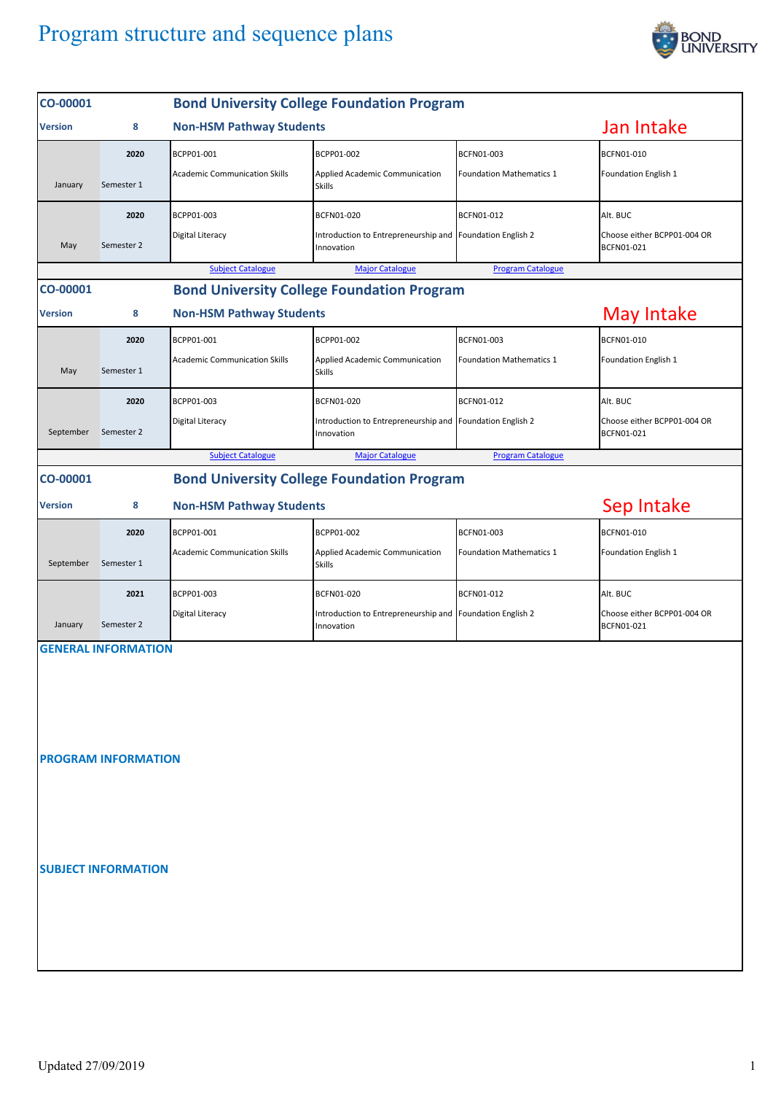## Program structure and sequence plans



| CO-00001                                                                       |                                                   |                                      | <b>Bond University College Foundation Program</b>                       |                                 |                                           |  |  |  |  |
|--------------------------------------------------------------------------------|---------------------------------------------------|--------------------------------------|-------------------------------------------------------------------------|---------------------------------|-------------------------------------------|--|--|--|--|
| <b>Version</b>                                                                 | 8                                                 | <b>Non-HSM Pathway Students</b>      |                                                                         |                                 |                                           |  |  |  |  |
|                                                                                | 2020                                              | BCPP01-001                           | BCPP01-002                                                              | BCFN01-003                      | BCFN01-010                                |  |  |  |  |
| January                                                                        | Semester 1                                        | <b>Academic Communication Skills</b> | Applied Academic Communication<br><b>Skills</b>                         | <b>Foundation Mathematics 1</b> | Foundation English 1                      |  |  |  |  |
|                                                                                | 2020                                              | BCPP01-003                           | BCFN01-020                                                              | BCFN01-012                      | Alt. BUC                                  |  |  |  |  |
| May                                                                            | Semester 2                                        | Digital Literacy                     | Introduction to Entrepreneurship and Foundation English 2<br>Innovation |                                 | Choose either BCPP01-004 OR<br>BCFN01-021 |  |  |  |  |
| <b>Program Catalogue</b><br><b>Subject Catalogue</b><br><b>Major Catalogue</b> |                                                   |                                      |                                                                         |                                 |                                           |  |  |  |  |
| CO-00001                                                                       | <b>Bond University College Foundation Program</b> |                                      |                                                                         |                                 |                                           |  |  |  |  |
| <b>Version</b>                                                                 | 8                                                 | <b>Non-HSM Pathway Students</b>      | May Intake                                                              |                                 |                                           |  |  |  |  |
|                                                                                | 2020                                              | BCPP01-001                           | BCPP01-002                                                              | BCFN01-003                      | BCFN01-010                                |  |  |  |  |
| May                                                                            | Semester 1                                        | <b>Academic Communication Skills</b> | Applied Academic Communication<br><b>Skills</b>                         | <b>Foundation Mathematics 1</b> | Foundation English 1                      |  |  |  |  |
|                                                                                | 2020                                              | BCPP01-003                           | <b>BCFN01-020</b>                                                       | BCFN01-012                      | Alt. BUC                                  |  |  |  |  |
| September                                                                      | Semester 2                                        | Digital Literacy                     | Introduction to Entrepreneurship and Foundation English 2<br>Innovation |                                 | Choose either BCPP01-004 OR<br>BCFN01-021 |  |  |  |  |
| <b>Subject Catalogue</b><br><b>Major Catalogue</b><br><b>Program Catalogue</b> |                                                   |                                      |                                                                         |                                 |                                           |  |  |  |  |
| CO-00001                                                                       |                                                   |                                      | <b>Bond University College Foundation Program</b>                       |                                 |                                           |  |  |  |  |
| <b>Version</b>                                                                 | 8                                                 | <b>Non-HSM Pathway Students</b>      | Sep Intake                                                              |                                 |                                           |  |  |  |  |
|                                                                                | 2020                                              | BCPP01-001                           | BCPP01-002                                                              | BCFN01-003                      | BCFN01-010                                |  |  |  |  |
| September                                                                      | Semester 1                                        | <b>Academic Communication Skills</b> | Applied Academic Communication<br><b>Skills</b>                         | Foundation Mathematics 1        | Foundation English 1                      |  |  |  |  |
|                                                                                | 2021                                              | BCPP01-003                           | BCFN01-020                                                              | BCFN01-012                      | Alt. BUC                                  |  |  |  |  |
| January                                                                        | Semester 2                                        | Digital Literacy                     | Introduction to Entrepreneurship and<br>Innovation                      | Foundation English 2            | Choose either BCPP01-004 OR<br>BCFN01-021 |  |  |  |  |
| <b>GENERAL INFORMATION</b><br><b>PROGRAM INFORMATION</b>                       |                                                   |                                      |                                                                         |                                 |                                           |  |  |  |  |
|                                                                                | <b>SUBJECT INFORMATION</b>                        |                                      |                                                                         |                                 |                                           |  |  |  |  |